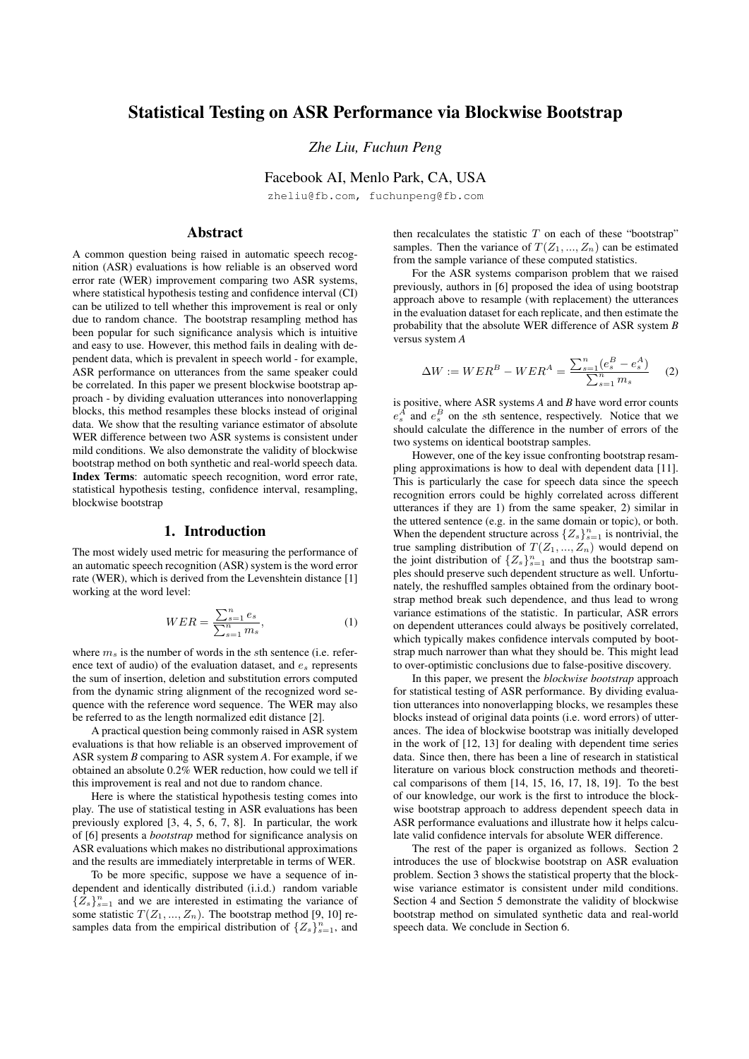# Statistical Testing on ASR Performance via Blockwise Bootstrap

*Zhe Liu, Fuchun Peng*

Facebook AI, Menlo Park, CA, USA

zheliu@fb.com, fuchunpeng@fb.com

# Abstract

A common question being raised in automatic speech recognition (ASR) evaluations is how reliable is an observed word error rate (WER) improvement comparing two ASR systems, where statistical hypothesis testing and confidence interval (CI) can be utilized to tell whether this improvement is real or only due to random chance. The bootstrap resampling method has been popular for such significance analysis which is intuitive and easy to use. However, this method fails in dealing with dependent data, which is prevalent in speech world - for example, ASR performance on utterances from the same speaker could be correlated. In this paper we present blockwise bootstrap approach - by dividing evaluation utterances into nonoverlapping blocks, this method resamples these blocks instead of original data. We show that the resulting variance estimator of absolute WER difference between two ASR systems is consistent under mild conditions. We also demonstrate the validity of blockwise bootstrap method on both synthetic and real-world speech data. Index Terms: automatic speech recognition, word error rate, statistical hypothesis testing, confidence interval, resampling, blockwise bootstrap

# 1. Introduction

The most widely used metric for measuring the performance of an automatic speech recognition (ASR) system is the word error rate (WER), which is derived from the Levenshtein distance [1] working at the word level:

$$
WER = \frac{\sum_{s=1}^{n} e_s}{\sum_{s=1}^{n} m_s},
$$
\n(1)

where *m<sup>s</sup>* is the number of words in the *s*th sentence (i.e. reference text of audio) of the evaluation dataset, and *e<sup>s</sup>* represents the sum of insertion, deletion and substitution errors computed from the dynamic string alignment of the recognized word sequence with the reference word sequence. The WER may also be referred to as the length normalized edit distance [2].

A practical question being commonly raised in ASR system evaluations is that how reliable is an observed improvement of ASR system *B* comparing to ASR system *A*. For example, if we obtained an absolute 0.2% WER reduction, how could we tell if this improvement is real and not due to random chance.

Here is where the statistical hypothesis testing comes into play. The use of statistical testing in ASR evaluations has been previously explored [3, 4, 5, 6, 7, 8]. In particular, the work of [6] presents a *bootstrap* method for significance analysis on ASR evaluations which makes no distributional approximations and the results are immediately interpretable in terms of WER.

To be more specific, suppose we have a sequence of independent and identically distributed (i.i.d.) random variable  ${Z_s}_{s=1}^n$  and we are interested in estimating the variance of some statistic  $T(Z_1, ..., Z_n)$ . The bootstrap method [9, 10] resamples data from the empirical distribution of  $\{Z_s\}_{s=1}^n$ , and

then recalculates the statistic  $T$  on each of these "bootstrap" samples. Then the variance of  $T(Z_1, ..., Z_n)$  can be estimated from the sample variance of these computed statistics.

For the ASR systems comparison problem that we raised previously, authors in [6] proposed the idea of using bootstrap approach above to resample (with replacement) the utterances in the evaluation dataset for each replicate, and then estimate the probability that the absolute WER difference of ASR system *B* versus system *A*

$$
\Delta W := W E R^{B} - W E R^{A} = \frac{\sum_{s=1}^{n} (e_{s}^{B} - e_{s}^{A})}{\sum_{s=1}^{n} m_{s}} \quad (2)
$$

is positive, where ASR systems *A* and *B* have word error counts  $e_s^A$  and  $e_s^B$  on the *s*th sentence, respectively. Notice that we should calculate the difference in the number of errors of the two systems on identical bootstrap samples.

However, one of the key issue confronting bootstrap resampling approximations is how to deal with dependent data [11]. This is particularly the case for speech data since the speech recognition errors could be highly correlated across different utterances if they are 1) from the same speaker, 2) similar in the uttered sentence (e.g. in the same domain or topic), or both. When the dependent structure across  $\{Z_s\}_{s=1}^n$  is nontrivial, the true sampling distribution of  $T(Z_1, ..., Z_n)$  would depend on the joint distribution of  ${Z_s}_{s=1}^n$  and thus the bootstrap samples should preserve such dependent structure as well. Unfortunately, the reshuffled samples obtained from the ordinary bootstrap method break such dependence, and thus lead to wrong variance estimations of the statistic. In particular, ASR errors on dependent utterances could always be positively correlated, which typically makes confidence intervals computed by bootstrap much narrower than what they should be. This might lead to over-optimistic conclusions due to false-positive discovery.

In this paper, we present the *blockwise bootstrap* approach for statistical testing of ASR performance. By dividing evaluation utterances into nonoverlapping blocks, we resamples these blocks instead of original data points (i.e. word errors) of utterances. The idea of blockwise bootstrap was initially developed in the work of [12, 13] for dealing with dependent time series data. Since then, there has been a line of research in statistical literature on various block construction methods and theoretical comparisons of them [14, 15, 16, 17, 18, 19]. To the best of our knowledge, our work is the first to introduce the blockwise bootstrap approach to address dependent speech data in ASR performance evaluations and illustrate how it helps calculate valid confidence intervals for absolute WER difference.

The rest of the paper is organized as follows. Section 2 introduces the use of blockwise bootstrap on ASR evaluation problem. Section 3 shows the statistical property that the blockwise variance estimator is consistent under mild conditions. Section 4 and Section 5 demonstrate the validity of blockwise bootstrap method on simulated synthetic data and real-world speech data. We conclude in Section 6.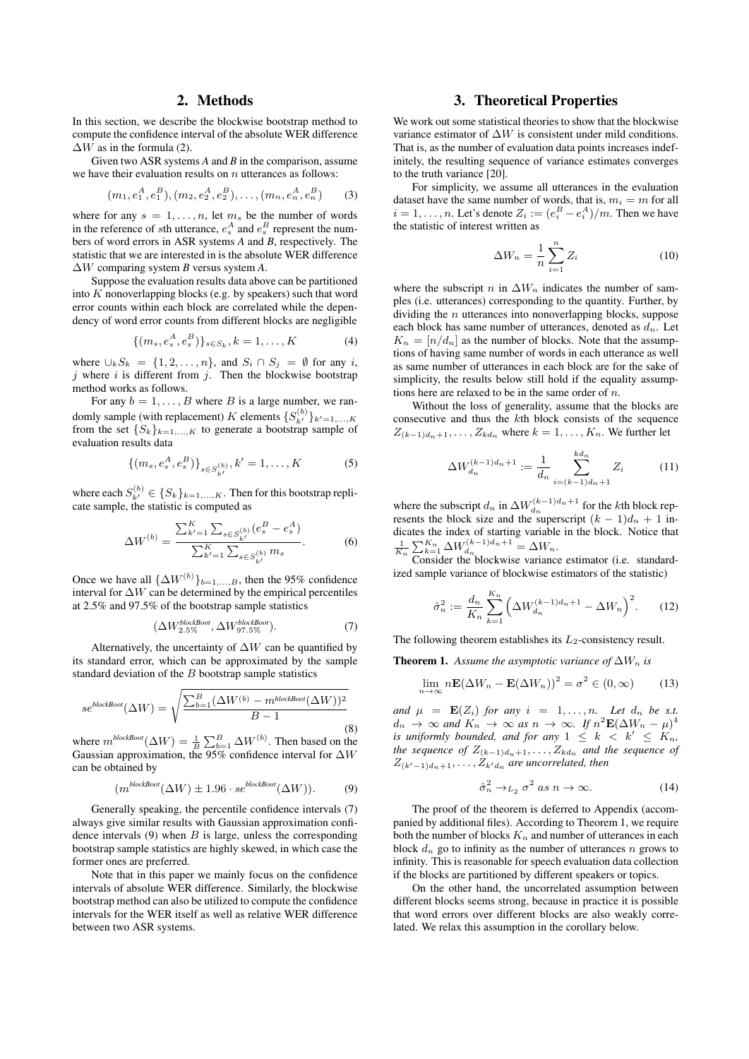# 2. Methods

In this section, we describe the blockwise bootstrap method to compute the confidence interval of the absolute WER difference  $\Delta W$  as in the formula (2).

Given two ASR systems *A* and *B* in the comparison, assume we have their evaluation results on *n* utterances as follows:

$$
(m_1, e_1^A, e_1^B), (m_2, e_2^A, e_2^B), \ldots, (m_n, e_n^A, e_n^B)
$$
 (3)

where for any  $s = 1, \ldots, n$ , let  $m_s$  be the number of words in the reference of *s*th utterance,  $e_s^A$  and  $e_s^B$  represent the numbers of word errors in ASR systems *A* and *B*, respectively. The statistic that we are interested in is the absolute WER difference  $\Delta W$  comparing system *B* versus system *A*.

Suppose the evaluation results data above can be partitioned into *K* nonoverlapping blocks (e.g. by speakers) such that word error counts within each block are correlated while the dependency of word error counts from different blocks are negligible

$$
\{(m_s, e_s^A, e_s^B)\}_{s \in S_k}, k = 1, \dots, K
$$
 (4)

where  $\bigcup_k S_k = \{1, 2, \ldots, n\}$ , and  $S_i \cap S_j = \emptyset$  for any *i*, *j* where *i* is different from *j*. Then the blockwise bootstrap method works as follows.

For any  $b = 1, \ldots, B$  where *B* is a large number, we randomly sample (with replacement) *K* elements  $\{S_{k'}^{(b)}\}_{k'=1,\ldots,K}$ from the set  ${S_k}_{k=1,\ldots,K}$  to generate a bootstrap sample of evaluation results data

$$
\{(m_s, e_s^A, e_s^B)\}_{s \in S_{k'}^{(b)}}, k' = 1, \dots, K
$$
 (5)

where each  $S_{k'}^{(b)} \in \{S_k\}_{k=1,\ldots,K}$ . Then for this bootstrap replicate sample, the statistic is computed as

$$
\Delta W^{(b)} = \frac{\sum_{k'=1}^{K} \sum_{s \in S_{k'}^{(b)}} (e_s^B - e_s^A)}{\sum_{k'=1}^{K} \sum_{s \in S_{k'}^{(b)}} m_s}.
$$
 (6)

Once we have all  $\{\Delta W^{(b)}\}_{b=1,\dots,B}$ , then the 95% confidence interval for  $\Delta W$  can be determined by the empirical percentiles at 2.5% and 97.5% of the bootstrap sample statistics

$$
(\Delta W_{2.5\%}^{blockBoot}, \Delta W_{97.5\%}^{blockBoot}). \tag{7}
$$

Alternatively, the uncertainty of  $\Delta W$  can be quantified by its standard error, which can be approximated by the sample standard deviation of the *B* bootstrap sample statistics

$$
se^{blockBock}(\Delta W) = \sqrt{\frac{\sum_{b=1}^{B} (\Delta W^{(b)} - m^{blockBock}}{B - 1}})
$$
\n(8)

where  $m^{blockBoot}(\Delta W) = \frac{1}{B} \sum_{b=1}^{B} \Delta W^{(b)}$ . Then based on the Gaussian approximation, the 95% confidence interval for *W* can be obtained by

$$
(m^{blockBoot}(\Delta W) \pm 1.96 \cdot se^{blockBoot}(\Delta W)).
$$
 (9)

Generally speaking, the percentile confidence intervals (7) always give similar results with Gaussian approximation confidence intervals (9) when *B* is large, unless the corresponding bootstrap sample statistics are highly skewed, in which case the former ones are preferred.

Note that in this paper we mainly focus on the confidence intervals of absolute WER difference. Similarly, the blockwise bootstrap method can also be utilized to compute the confidence intervals for the WER itself as well as relative WER difference between two ASR systems.

# 3. Theoretical Properties

We work out some statistical theories to show that the blockwise variance estimator of  $\Delta W$  is consistent under mild conditions. That is, as the number of evaluation data points increases indefinitely, the resulting sequence of variance estimates converges to the truth variance [20].

For simplicity, we assume all utterances in the evaluation dataset have the same number of words, that is,  $m_i = m$  for all  $i = 1, \ldots, n$ . Let's denote  $Z_i := (e_i^B - e_i^A)/m$ . Then we have the statistic of interest written as

$$
\Delta W_n = \frac{1}{n} \sum_{i=1}^n Z_i \tag{10}
$$

where the subscript *n* in  $\Delta W_n$  indicates the number of samples (i.e. utterances) corresponding to the quantity. Further, by dividing the *n* utterances into nonoverlapping blocks, suppose each block has same number of utterances, denoted as *dn*. Let  $K_n = [n/d_n]$  as the number of blocks. Note that the assumptions of having same number of words in each utterance as well as same number of utterances in each block are for the sake of simplicity, the results below still hold if the equality assumptions here are relaxed to be in the same order of *n*.

Without the loss of generality, assume that the blocks are consecutive and thus the *k*th block consists of the sequence  $Z_{(k-1)d_n+1}, \ldots, Z_{kd_n}$  where  $k = 1, \ldots, K_n$ . We further let

$$
\Delta W_{d_n}^{(k-1)d_n+1} := \frac{1}{d_n} \sum_{i=(k-1)d_n+1}^{kd_n} Z_i \tag{11}
$$

where the subscript  $d_n$  in  $\Delta W_{d_n}^{(k-1)d_n+1}$  for the *k*th block represents the block size and the superscript  $(k - 1)d_n + 1$  indicates the index of starting variable in the block. Notice that<br>  $\frac{1}{K_n} \sum_{k=1}^{K_n} \Delta W_{d_n}^{(k-1)d_n+1} = \Delta W_n$ .<br>
Consider the blockwise variance estimator (i.e. standard-

ized sample variance of blockwise estimators of the statistic)

$$
\hat{\sigma}_n^2 := \frac{d_n}{K_n} \sum_{k=1}^{K_n} \left( \Delta W_{d_n}^{(k-1)d_n+1} - \Delta W_n \right)^2.
$$
 (12)

The following theorem establishes its  $L_2$ -consistency result.

**Theorem 1.** Assume the asymptotic variance of  $\Delta W_n$  is

$$
\lim_{n \to \infty} n\mathbf{E}(\Delta W_n - \mathbf{E}(\Delta W_n))^2 = \sigma^2 \in (0, \infty)
$$
 (13)

*and*  $\mu = \mathbf{E}(Z_i)$  *for any*  $i = 1, \ldots, n$ *. Let*  $d_n$  *be s.t.*  $d_n \to \infty$  and  $K_n \to \infty$  as  $n \to \infty$ . If  $n^2 \mathbf{E}(\Delta W_n - \mu)^4$ *is uniformly bounded, and for any*  $1 \leq k \leq K$ <sup>*k*</sup>  $\leq K_n$ *, the sequence of*  $Z_{(k-1)d_n+1}, \ldots, Z_{kd_n}$  *and the sequence of*  $Z_{(k'-1)d_n+1}, \ldots, Z_{k'd_n}$  *are uncorrelated, then* 

$$
\hat{\sigma}_n^2 \to_{L_2} \sigma^2 \text{ as } n \to \infty. \tag{14}
$$

The proof of the theorem is deferred to Appendix (accompanied by additional files). According to Theorem 1, we require both the number of blocks  $K_n$  and number of utterances in each block  $d_n$  go to infinity as the number of utterances *n* grows to infinity. This is reasonable for speech evaluation data collection if the blocks are partitioned by different speakers or topics.

On the other hand, the uncorrelated assumption between different blocks seems strong, because in practice it is possible that word errors over different blocks are also weakly correlated. We relax this assumption in the corollary below.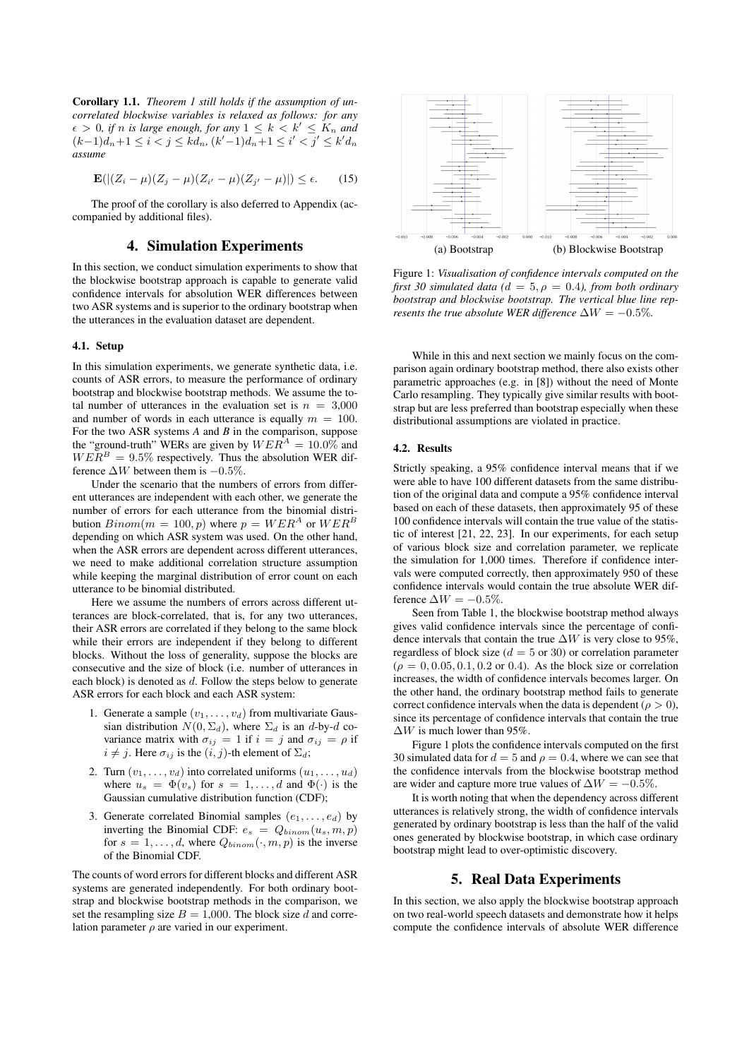Corollary 1.1. *Theorem 1 still holds if the assumption of uncorrelated blockwise variables is relaxed as follows: for any*  $\epsilon > 0$ , if *n* is large enough, for any  $1 \leq k < k' \leq K_n$  and  $(k-1)d_n+1 \leq i < j \leq kd_n$ ,  $(k'-1)d_n+1 \leq i' < j' \leq k'd_n$ *assume*

$$
\mathbf{E}(|(Z_i - \mu)(Z_j - \mu)(Z_{i'} - \mu)(Z_{j'} - \mu)|) \le \epsilon.
$$
 (15)

The proof of the corollary is also deferred to Appendix (accompanied by additional files).

# 4. Simulation Experiments

In this section, we conduct simulation experiments to show that the blockwise bootstrap approach is capable to generate valid confidence intervals for absolution WER differences between two ASR systems and is superior to the ordinary bootstrap when the utterances in the evaluation dataset are dependent.

#### 4.1. Setup

In this simulation experiments, we generate synthetic data, i.e. counts of ASR errors, to measure the performance of ordinary bootstrap and blockwise bootstrap methods. We assume the total number of utterances in the evaluation set is  $n = 3,000$ and number of words in each utterance is equally  $m = 100$ . For the two ASR systems *A* and *B* in the comparison, suppose the "ground-truth" WERs are given by  $WER^A = 10.0\%$  and  $WER^B = 9.5\%$  respectively. Thus the absolution WER difference  $\Delta W$  between them is  $-0.5\%$ .

Under the scenario that the numbers of errors from different utterances are independent with each other, we generate the number of errors for each utterance from the binomial distribution  $Binom(m = 100, p)$  where  $p = WER^A$  or  $WER^B$ depending on which ASR system was used. On the other hand, when the ASR errors are dependent across different utterances, we need to make additional correlation structure assumption while keeping the marginal distribution of error count on each utterance to be binomial distributed.

Here we assume the numbers of errors across different utterances are block-correlated, that is, for any two utterances, their ASR errors are correlated if they belong to the same block while their errors are independent if they belong to different blocks. Without the loss of generality, suppose the blocks are consecutive and the size of block (i.e. number of utterances in each block) is denoted as *d*. Follow the steps below to generate ASR errors for each block and each ASR system:

- 1. Generate a sample  $(v_1, \ldots, v_d)$  from multivariate Gaussian distribution  $N(0, \Sigma_d)$ , where  $\Sigma_d$  is an *d*-by-*d* covariance matrix with  $\sigma_{ij} = 1$  if  $i = j$  and  $\sigma_{ij} = \rho$  if  $i \neq j$ . Here  $\sigma_{ij}$  is the  $(i, j)$ -th element of  $\Sigma_d$ ;
- 2. Turn  $(v_1, \ldots, v_d)$  into correlated uniforms  $(u_1, \ldots, u_d)$ where  $u_s = \Phi(v_s)$  for  $s = 1, \ldots, d$  and  $\Phi(\cdot)$  is the Gaussian cumulative distribution function (CDF);
- 3. Generate correlated Binomial samples (*e*1*,...,ed*) by inverting the Binomial CDF:  $e_s = Q_{binom}(u_s, m, p)$ for  $s = 1, \ldots, d$ , where  $Q_{binom}(\cdot, m, p)$  is the inverse of the Binomial CDF.

The counts of word errors for different blocks and different ASR systems are generated independently. For both ordinary bootstrap and blockwise bootstrap methods in the comparison, we set the resampling size  $B = 1,000$ . The block size  $\tilde{d}$  and correlation parameter  $\rho$  are varied in our experiment.



Figure 1: *Visualisation of confidence intervals computed on the first 30 simulated data* ( $d = 5$ ,  $\rho = 0.4$ *), from both ordinary bootstrap and blockwise bootstrap. The vertical blue line represents the true absolute WER difference*  $\Delta W = -0.5\%$ .

While in this and next section we mainly focus on the comparison again ordinary bootstrap method, there also exists other parametric approaches (e.g. in [8]) without the need of Monte Carlo resampling. They typically give similar results with bootstrap but are less preferred than bootstrap especially when these distributional assumptions are violated in practice.

#### 4.2. Results

Strictly speaking, a 95% confidence interval means that if we were able to have 100 different datasets from the same distribution of the original data and compute a 95% confidence interval based on each of these datasets, then approximately 95 of these 100 confidence intervals will contain the true value of the statistic of interest [21, 22, 23]. In our experiments, for each setup of various block size and correlation parameter, we replicate the simulation for 1,000 times. Therefore if confidence intervals were computed correctly, then approximately 950 of these confidence intervals would contain the true absolute WER difference  $\Delta W = -0.5\%$ .

Seen from Table 1, the blockwise bootstrap method always gives valid confidence intervals since the percentage of confidence intervals that contain the true  $\Delta W$  is very close to 95%, regardless of block size  $(d = 5 \text{ or } 30)$  or correlation parameter  $(\rho = 0, 0.05, 0.1, 0.2 \text{ or } 0.4)$ . As the block size or correlation increases, the width of confidence intervals becomes larger. On the other hand, the ordinary bootstrap method fails to generate correct confidence intervals when the data is dependent ( $\rho > 0$ ), since its percentage of confidence intervals that contain the true  $\Delta W$  is much lower than 95%.

Figure 1 plots the confidence intervals computed on the first 30 simulated data for  $d = 5$  and  $\rho = 0.4$ , where we can see that the confidence intervals from the blockwise bootstrap method are wider and capture more true values of  $\Delta W = -0.5\%$ .

It is worth noting that when the dependency across different utterances is relatively strong, the width of confidence intervals generated by ordinary bootstrap is less than the half of the valid ones generated by blockwise bootstrap, in which case ordinary bootstrap might lead to over-optimistic discovery.

### 5. Real Data Experiments

In this section, we also apply the blockwise bootstrap approach on two real-world speech datasets and demonstrate how it helps compute the confidence intervals of absolute WER difference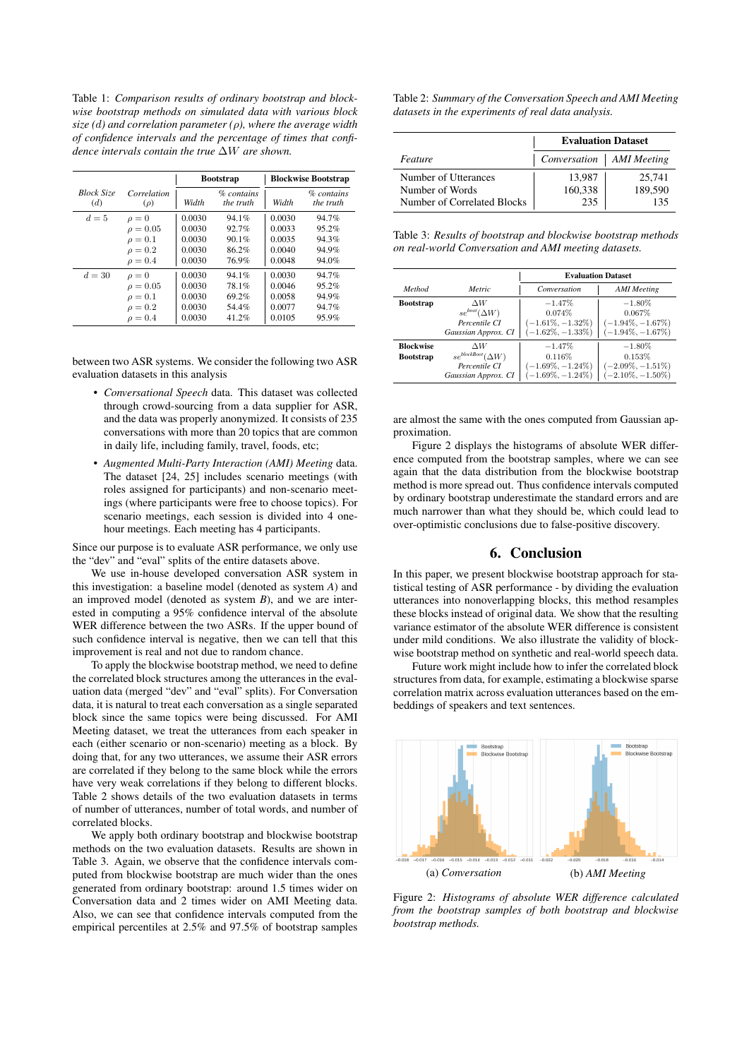Table 1: *Comparison results of ordinary bootstrap and blockwise bootstrap methods on simulated data with various block*  $size (d)$  and correlation parameter  $(\rho)$ , where the average width *of confidence intervals and the percentage of times that confidence intervals contain the true*  $\Delta W$  *are shown.* 

|                          |                         | <b>Bootstrap</b> |                            | <b>Blockwise Bootstrap</b> |                                |
|--------------------------|-------------------------|------------------|----------------------------|----------------------------|--------------------------------|
| <b>Block Size</b><br>(d) | Correlation<br>$(\rho)$ | Width            | $\%$ contains<br>the truth | Width                      | % contains<br><i>the truth</i> |
| $d=5$                    | $\rho=0$                | 0.0030           | 94.1%                      | 0.0030                     | 94.7%                          |
|                          | $\rho = 0.05$           | 0.0030           | 92.7%                      | 0.0033                     | 95.2%                          |
|                          | $\rho=0.1$              | 0.0030           | 90.1%                      | 0.0035                     | 94.3%                          |
|                          | $\rho = 0.2$            | 0.0030           | 86.2%                      | 0.0040                     | 94.9%                          |
|                          | $\rho = 0.4$            | 0.0030           | 76.9%                      | 0.0048                     | 94.0%                          |
| $d = 30$                 | $\rho=0$                | 0.0030           | 94.1%                      | 0.0030                     | 94.7%                          |
|                          | $\rho = 0.05$           | 0.0030           | 78.1%                      | 0.0046                     | 95.2%                          |
|                          | $\rho=0.1$              | 0.0030           | 69.2%                      | 0.0058                     | 94.9%                          |
|                          | $\rho = 0.2$            | 0.0030           | 54.4%                      | 0.0077                     | 94.7%                          |
|                          | $\rho = 0.4$            | 0.0030           | 41.2%                      | 0.0105                     | 95.9%                          |

between two ASR systems. We consider the following two ASR evaluation datasets in this analysis

- *Conversational Speech* data. This dataset was collected through crowd-sourcing from a data supplier for ASR, and the data was properly anonymized. It consists of 235 conversations with more than 20 topics that are common in daily life, including family, travel, foods, etc;
- *Augmented Multi-Party Interaction (AMI) Meeting* data. The dataset [24, 25] includes scenario meetings (with roles assigned for participants) and non-scenario meetings (where participants were free to choose topics). For scenario meetings, each session is divided into 4 onehour meetings. Each meeting has 4 participants.

Since our purpose is to evaluate ASR performance, we only use the "dev" and "eval" splits of the entire datasets above.

We use in-house developed conversation ASR system in this investigation: a baseline model (denoted as system *A*) and an improved model (denoted as system *B*), and we are interested in computing a 95% confidence interval of the absolute WER difference between the two ASRs. If the upper bound of such confidence interval is negative, then we can tell that this improvement is real and not due to random chance.

To apply the blockwise bootstrap method, we need to define the correlated block structures among the utterances in the evaluation data (merged "dev" and "eval" splits). For Conversation data, it is natural to treat each conversation as a single separated block since the same topics were being discussed. For AMI Meeting dataset, we treat the utterances from each speaker in each (either scenario or non-scenario) meeting as a block. By doing that, for any two utterances, we assume their ASR errors are correlated if they belong to the same block while the errors have very weak correlations if they belong to different blocks. Table 2 shows details of the two evaluation datasets in terms of number of utterances, number of total words, and number of correlated blocks.

We apply both ordinary bootstrap and blockwise bootstrap methods on the two evaluation datasets. Results are shown in Table 3. Again, we observe that the confidence intervals computed from blockwise bootstrap are much wider than the ones generated from ordinary bootstrap: around 1.5 times wider on Conversation data and 2 times wider on AMI Meeting data. Also, we can see that confidence intervals computed from the empirical percentiles at 2.5% and 97.5% of bootstrap samples

| Table 2: Summary of the Conversation Speech and AMI Meeting |
|-------------------------------------------------------------|
| datasets in the experiments of real data analysis.          |

|                             | <b>Evaluation Dataset</b>  |         |
|-----------------------------|----------------------------|---------|
| Feature                     | Conversation   AMI Meeting |         |
| Number of Utterances        | 13,987                     | 25,741  |
| Number of Words             | 160,338                    | 189,590 |
| Number of Correlated Blocks | 235                        | 135     |

Table 3: *Results of bootstrap and blockwise bootstrap methods on real-world Conversation and AMI meeting datasets.*

|                  |                            | <b>Evaluation Dataset</b> |                      |  |
|------------------|----------------------------|---------------------------|----------------------|--|
| Method           | Metric                     | Conversation              | <b>AMI</b> Meeting   |  |
| <b>Bootstrap</b> | ΔW                         | $-1.47%$                  | $-1.80\%$            |  |
|                  | $se^{boot}(\Delta W)$      | $0.074\%$                 | $0.067\%$            |  |
|                  | Percentile CI              | $(-1.61\%, -1.32\%)$      | $(-1.94\%, -1.67\%)$ |  |
|                  | Gaussian Approx. CI        | $(-1.62\%, -1.33\%)$      | $(-1.94\%, -1.67\%)$ |  |
| <b>Blockwise</b> | ΛW                         | $-1.47%$                  | $-1.80\%$            |  |
| <b>Bootstrap</b> | $se^{blockBoot}(\Delta W)$ | 0.116%                    | 0.153%               |  |
|                  | Percentile CI              | $(-1.69\%, -1.24\%)$      | $(-2.09\%, -1.51\%)$ |  |
|                  | Gaussian Approx. CI        | $(-1.69\%, -1.24\%)$      | $(-2.10\%, -1.50\%)$ |  |

are almost the same with the ones computed from Gaussian approximation.

Figure 2 displays the histograms of absolute WER difference computed from the bootstrap samples, where we can see again that the data distribution from the blockwise bootstrap method is more spread out. Thus confidence intervals computed by ordinary bootstrap underestimate the standard errors and are much narrower than what they should be, which could lead to over-optimistic conclusions due to false-positive discovery.

# 6. Conclusion

In this paper, we present blockwise bootstrap approach for statistical testing of ASR performance - by dividing the evaluation utterances into nonoverlapping blocks, this method resamples these blocks instead of original data. We show that the resulting variance estimator of the absolute WER difference is consistent under mild conditions. We also illustrate the validity of blockwise bootstrap method on synthetic and real-world speech data.

Future work might include how to infer the correlated block structures from data, for example, estimating a blockwise sparse correlation matrix across evaluation utterances based on the embeddings of speakers and text sentences.



Figure 2: *Histograms of absolute WER difference calculated from the bootstrap samples of both bootstrap and blockwise bootstrap methods.*